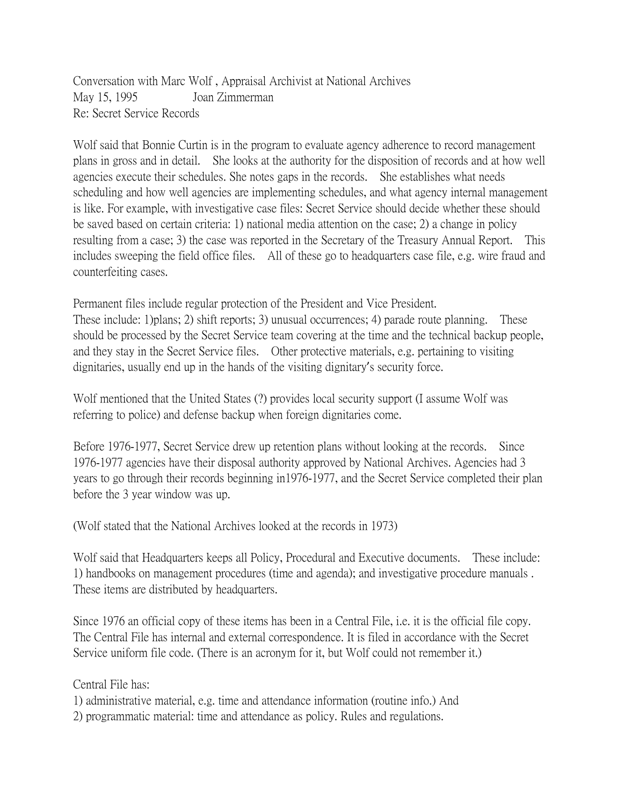Conversation with Marc Wolf , Appraisal Archivist at National Archives May 15, 1995 Joan Zimmerman Re: Secret Service Records

Wolf said that Bonnie Curtin is in the program to evaluate agency adherence to record management plans in gross and in detail. She looks at the authority for the disposition of records and at how well agencies execute their schedules. She notes gaps in the records. She establishes what needs scheduling and how well agencies are implementing schedules, and what agency internal management is like. For example, with investigative case files: Secret Service should decide whether these should be saved based on certain criteria: 1) national media attention on the case; 2) a change in policy resulting from a case; 3) the case was reported in the Secretary of the Treasury Annual Report. This includes sweeping the field office files. All of these go to headquarters case file, e.g. wire fraud and counterfeiting cases.

Permanent files include regular protection of the President and Vice President.

These include: 1)plans; 2) shift reports; 3) unusual occurrences; 4) parade route planning. These should be processed by the Secret Service team covering at the time and the technical backup people, and they stay in the Secret Service files. Other protective materials, e.g. pertaining to visiting dignitaries, usually end up in the hands of the visiting dignitary's security force.

Wolf mentioned that the United States (?) provides local security support (I assume Wolf was referring to police) and defense backup when foreign dignitaries come.

Before 1976-1977, Secret Service drew up retention plans without looking at the records. Since 1976-1977 agencies have their disposal authority approved by National Archives. Agencies had 3 years to go through their records beginning in1976-1977, and the Secret Service completed their plan before the 3 year window was up.

(Wolf stated that the National Archives looked at the records in 1973)

Wolf said that Headquarters keeps all Policy, Procedural and Executive documents. These include: 1) handbooks on management procedures (time and agenda); and investigative procedure manuals . These items are distributed by headquarters.

Since 1976 an official copy of these items has been in a Central File, i.e. it is the official file copy. The Central File has internal and external correspondence. It is filed in accordance with the Secret Service uniform file code. (There is an acronym for it, but Wolf could not remember it.)

Central File has:

1) administrative material, e.g. time and attendance information (routine info.) And

2) programmatic material: time and attendance as policy. Rules and regulations.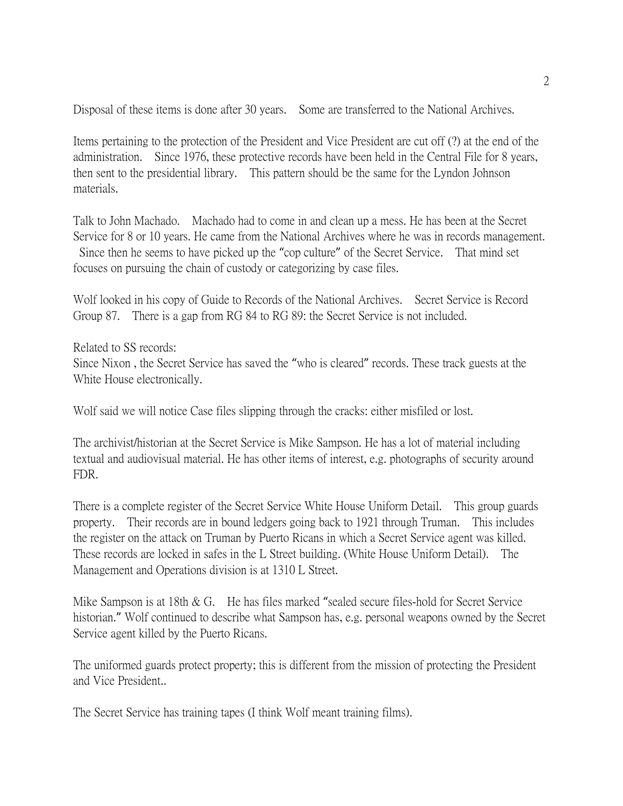Disposal of these items is done after 30 years. Some are transferred to the National Archives.

Items pertaining to the protection of the President and Vice President are cut off (?) at the end of the administration. Since 1976, these protective records have been held in the Central File for 8 years, then sent to the presidential library. This pattern should be the same for the Lyndon Johnson materials.

Talk to John Machado. Machado had to come in and clean up a mess. He has been at the Secret Service for 8 or 10 years. He came from the National Archives where he was in records management. Since then he seems to have picked up the "cop culture" of the Secret Service. That mind set focuses on pursuing the chain of custody or categorizing by case files.

Wolf looked in his copy of Guide to Records of the National Archives. Secret Service is Record Group 87. There is a gap from RG 84 to RG 89: the Secret Service is not included.

Related to SS records: Since Nixon , the Secret Service has saved the "who is cleared" records. These track guests at the White House electronically.

Wolf said we will notice Case files slipping through the cracks: either misfiled or lost.

The archivist/historian at the Secret Service is Mike Sampson. He has a lot of material including textual and audiovisual material. He has other items of interest, e.g. photographs of security around FDR.

There is a complete register of the Secret Service White House Uniform Detail. This group guards property. Their records are in bound ledgers going back to 1921 through Truman. This includes the register on the attack on Truman by Puerto Ricans in which a Secret Service agent was killed. These records are locked in safes in the L Street building. (White House Uniform Detail). The Management and Operations division is at 1310 L Street.

Mike Sampson is at 18th & G. He has files marked "sealed secure files-hold for Secret Service historian." Wolf continued to describe what Sampson has, e.g. personal weapons owned by the Secret Service agent killed by the Puerto Ricans.

The uniformed guards protect property; this is different from the mission of protecting the President and Vice President..

The Secret Service has training tapes (I think Wolf meant training films).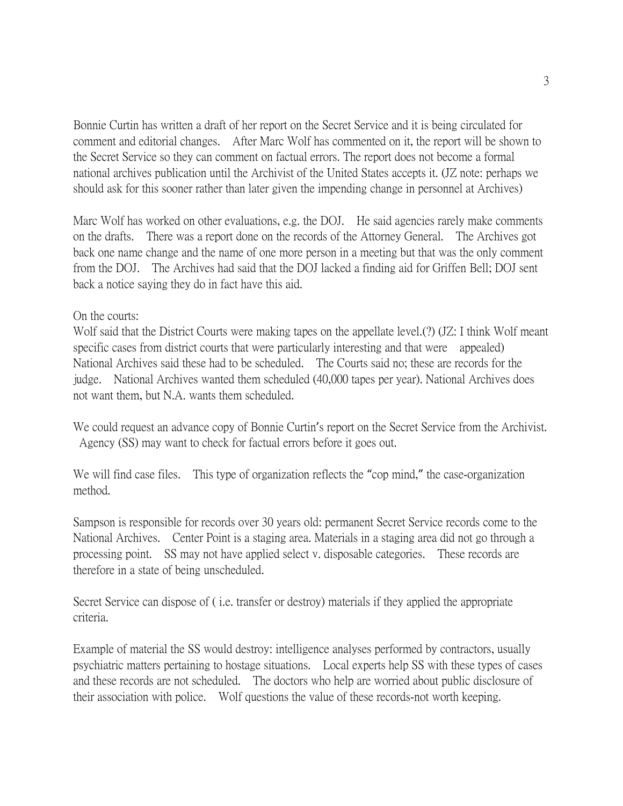Bonnie Curtin has written a draft of her report on the Secret Service and it is being circulated for comment and editorial changes. After Marc Wolf has commented on it, the report will be shown to the Secret Service so they can comment on factual errors. The report does not become a formal national archives publication until the Archivist of the United States accepts it. (JZ note: perhaps we should ask for this sooner rather than later given the impending change in personnel at Archives)

Marc Wolf has worked on other evaluations, e.g. the DOJ. He said agencies rarely make comments on the drafts. There was a report done on the records of the Attorney General. The Archives got back one name change and the name of one more person in a meeting but that was the only comment from the DOJ. The Archives had said that the DOJ lacked a finding aid for Griffen Bell; DOJ sent back a notice saying they do in fact have this aid.

## On the courts:

Wolf said that the District Courts were making tapes on the appellate level.(?) (JZ: I think Wolf meant specific cases from district courts that were particularly interesting and that were appealed) National Archives said these had to be scheduled. The Courts said no; these are records for the judge. National Archives wanted them scheduled (40,000 tapes per year). National Archives does not want them, but N.A. wants them scheduled.

We could request an advance copy of Bonnie Curtin's report on the Secret Service from the Archivist. Agency (SS) may want to check for factual errors before it goes out.

We will find case files. This type of organization reflects the "cop mind," the case-organization method.

Sampson is responsible for records over 30 years old: permanent Secret Service records come to the National Archives. Center Point is a staging area. Materials in a staging area did not go through a processing point. SS may not have applied select v. disposable categories. These records are therefore in a state of being unscheduled.

Secret Service can dispose of ( i.e. transfer or destroy) materials if they applied the appropriate criteria.

Example of material the SS would destroy: intelligence analyses performed by contractors, usually psychiatric matters pertaining to hostage situations. Local experts help SS with these types of cases and these records are not scheduled. The doctors who help are worried about public disclosure of their association with police. Wolf questions the value of these records-not worth keeping.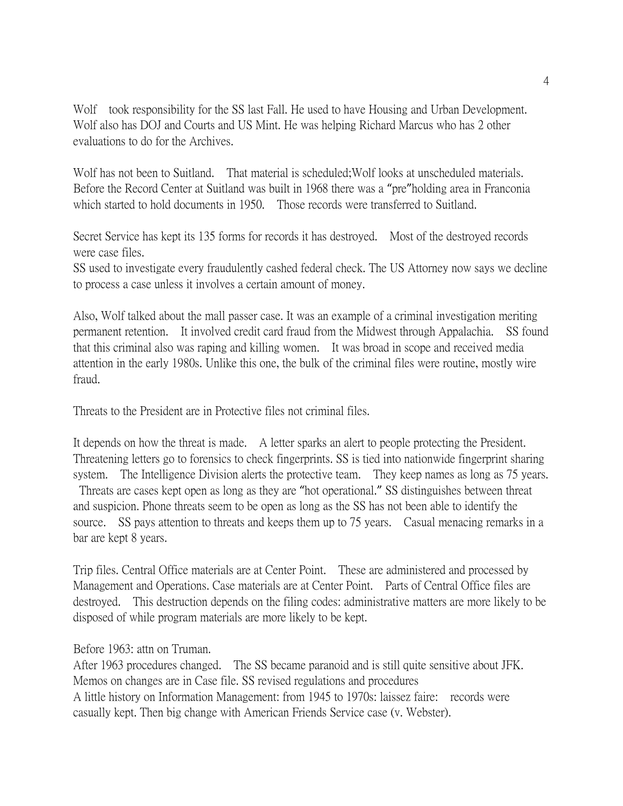Wolf took responsibility for the SS last Fall. He used to have Housing and Urban Development. Wolf also has DOJ and Courts and US Mint. He was helping Richard Marcus who has 2 other evaluations to do for the Archives.

Wolf has not been to Suitland. That material is scheduled; Wolf looks at unscheduled materials. Before the Record Center at Suitland was built in 1968 there was a "pre"holding area in Franconia which started to hold documents in 1950. Those records were transferred to Suitland.

Secret Service has kept its 135 forms for records it has destroyed. Most of the destroyed records were case files.

SS used to investigate every fraudulently cashed federal check. The US Attorney now says we decline to process a case unless it involves a certain amount of money.

Also, Wolf talked about the mall passer case. It was an example of a criminal investigation meriting permanent retention. It involved credit card fraud from the Midwest through Appalachia. SS found that this criminal also was raping and killing women. It was broad in scope and received media attention in the early 1980s. Unlike this one, the bulk of the criminal files were routine, mostly wire fraud.

Threats to the President are in Protective files not criminal files.

It depends on how the threat is made. A letter sparks an alert to people protecting the President. Threatening letters go to forensics to check fingerprints. SS is tied into nationwide fingerprint sharing system. The Intelligence Division alerts the protective team. They keep names as long as 75 years. Threats are cases kept open as long as they are "hot operational." SS distinguishes between threat and suspicion. Phone threats seem to be open as long as the SS has not been able to identify the source. SS pays attention to threats and keeps them up to 75 years. Casual menacing remarks in a bar are kept 8 years.

Trip files. Central Office materials are at Center Point. These are administered and processed by Management and Operations. Case materials are at Center Point. Parts of Central Office files are destroyed. This destruction depends on the filing codes: administrative matters are more likely to be disposed of while program materials are more likely to be kept.

Before 1963: attn on Truman.

After 1963 procedures changed. The SS became paranoid and is still quite sensitive about JFK. Memos on changes are in Case file. SS revised regulations and procedures A little history on Information Management: from 1945 to 1970s: laissez faire: records were casually kept. Then big change with American Friends Service case (v. Webster).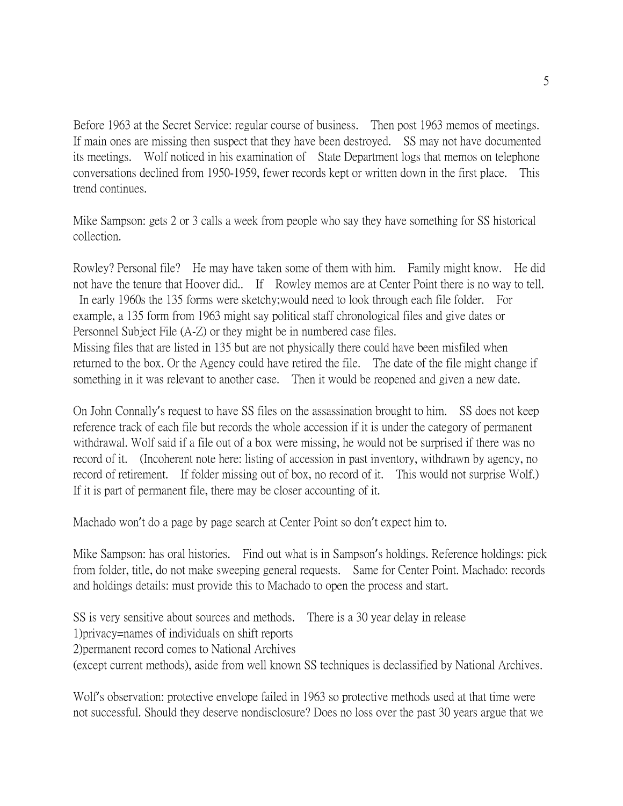Before 1963 at the Secret Service: regular course of business. Then post 1963 memos of meetings. If main ones are missing then suspect that they have been destroyed. SS may not have documented its meetings. Wolf noticed in his examination of State Department logs that memos on telephone conversations declined from 1950-1959, fewer records kept or written down in the first place. This trend continues.

Mike Sampson: gets 2 or 3 calls a week from people who say they have something for SS historical collection.

Rowley? Personal file? He may have taken some of them with him. Family might know. He did not have the tenure that Hoover did.. If Rowley memos are at Center Point there is no way to tell. In early 1960s the 135 forms were sketchy;would need to look through each file folder. For example, a 135 form from 1963 might say political staff chronological files and give dates or Personnel Subject File (A-Z) or they might be in numbered case files.

Missing files that are listed in 135 but are not physically there could have been misfiled when returned to the box. Or the Agency could have retired the file. The date of the file might change if something in it was relevant to another case. Then it would be reopened and given a new date.

On John Connally's request to have SS files on the assassination brought to him. SS does not keep reference track of each file but records the whole accession if it is under the category of permanent withdrawal. Wolf said if a file out of a box were missing, he would not be surprised if there was no record of it. (Incoherent note here: listing of accession in past inventory, withdrawn by agency, no record of retirement. If folder missing out of box, no record of it. This would not surprise Wolf.) If it is part of permanent file, there may be closer accounting of it.

Machado won't do a page by page search at Center Point so don't expect him to.

Mike Sampson: has oral histories. Find out what is in Sampson's holdings. Reference holdings: pick from folder, title, do not make sweeping general requests. Same for Center Point. Machado: records and holdings details: must provide this to Machado to open the process and start.

SS is very sensitive about sources and methods. There is a 30 year delay in release 1)privacy=names of individuals on shift reports 2)permanent record comes to National Archives (except current methods), aside from well known SS techniques is declassified by National Archives.

Wolf's observation: protective envelope failed in 1963 so protective methods used at that time were not successful. Should they deserve nondisclosure? Does no loss over the past 30 years argue that we